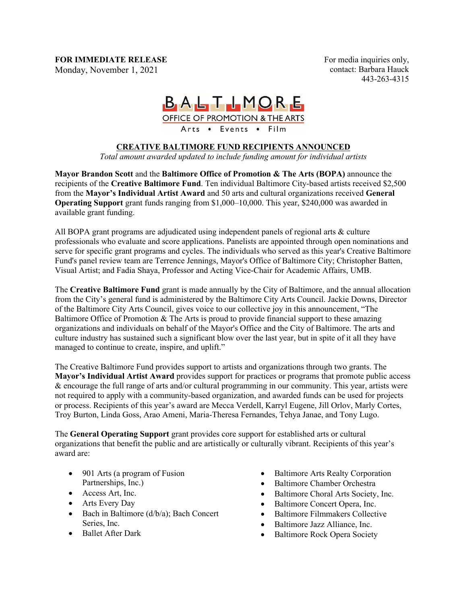**FOR IMMEDIATE RELEASE** Monday, November 1, 2021

For media inquiries only, contact: Barbara Hauck 443-263-4315



## **CREATIVE BALTIMORE FUND RECIPIENTS ANNOUNCED**

*Total amount awarded updated to include funding amount for individual artists*

**Mayor Brandon Scott** and the **Baltimore Office of Promotion & The Arts (BOPA)** announce the recipients of the **Creative Baltimore Fund**. Ten individual Baltimore City-based artists received \$2,500 from the **Mayor's Individual Artist Award** and 50 arts and cultural organizations received **General Operating Support** grant funds ranging from \$1,000–10,000. This year, \$240,000 was awarded in available grant funding.

All BOPA grant programs are adjudicated using independent panels of regional arts & culture professionals who evaluate and score applications. Panelists are appointed through open nominations and serve for specific grant programs and cycles. The individuals who served as this year's Creative Baltimore Fund's panel review team are Terrence Jennings, Mayor's Office of Baltimore City; Christopher Batten, Visual Artist; and Fadia Shaya, Professor and Acting Vice-Chair for Academic Affairs, UMB.

The **Creative Baltimore Fund** grant is made annually by the City of Baltimore, and the annual allocation from the City's general fund is administered by the Baltimore City Arts Council. Jackie Downs, Director of the Baltimore City Arts Council, gives voice to our collective joy in this announcement, "The Baltimore Office of Promotion  $&$  The Arts is proud to provide financial support to these amazing organizations and individuals on behalf of the Mayor's Office and the City of Baltimore. The arts and culture industry has sustained such a significant blow over the last year, but in spite of it all they have managed to continue to create, inspire, and uplift."

The Creative Baltimore Fund provides support to artists and organizations through two grants. The **Mayor's Individual Artist Award** provides support for practices or programs that promote public access & encourage the full range of arts and/or cultural programming in our community. This year, artists were not required to apply with a community-based organization, and awarded funds can be used for projects or process. Recipients of this year's award are Mecca Verdell, Karryl Eugene, Jill Orlov, Marly Cortes, Troy Burton, Linda Goss, Arao Ameni, Maria-Theresa Fernandes, Tehya Janae, and Tony Lugo.

The **General Operating Support** grant provides core support for established arts or cultural organizations that benefit the public and are artistically or culturally vibrant. Recipients of this year's award are:

- 901 Arts (a program of Fusion Partnerships, Inc.)
- Access Art, Inc.
- Arts Every Day
- Bach in Baltimore (d/b/a); Bach Concert Series, Inc.
- Ballet After Dark
- Baltimore Arts Realty Corporation
- Baltimore Chamber Orchestra
- Baltimore Choral Arts Society, Inc.
- Baltimore Concert Opera, Inc.
- Baltimore Filmmakers Collective
- Baltimore Jazz Alliance, Inc.
- Baltimore Rock Opera Society